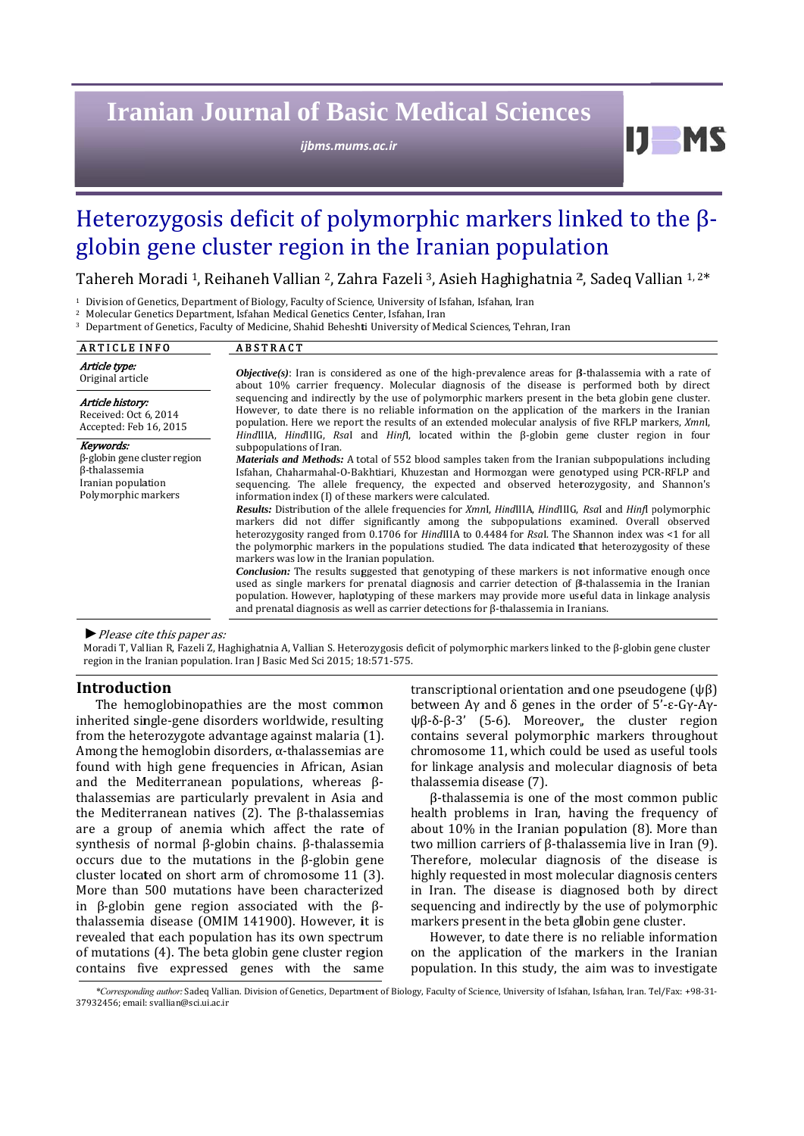# **Iranian Journal of Basic Medical Sciences**

*ijbms.mum ms.ac.ir*

DI

# Heterozygosis deficit of polymorphic markers linked to the  $\beta$ globin gene cluster region in the Iranian population

Tahereh Moradi <sup>1</sup>, Reihaneh Vallian <sup>2</sup>, Zahra Fazeli <sup>3</sup>, Asieh Haghighatnia <sup>2</sup>, Sadeq Vallian <sup>1, 2\*</sup>

<sup>1</sup> Division of Genetics, Department of Biology, Faculty of Science, University of Isfahan, Isfahan, Iran

<sup>2</sup> Molecular Genetics Department, Isfahan Medical Genetics Center, Isfahan, Iran

<sup>&</sup>lt;sup>3</sup> Department of Genetics, Faculty of Medicine, Shahid Beheshti University of Medical Sciences, Tehran, Iran

| <b>ARTICLE INFO</b>                                                                                            | <b>ABSTRACT</b>                                                                                                                                                                                                                                                                                                                                                                                                                                                                                                                                                                                                                                                                                                                                                                                                                                                                                                                                                                                                                                                                                                                                                                                                                                                                                               |
|----------------------------------------------------------------------------------------------------------------|---------------------------------------------------------------------------------------------------------------------------------------------------------------------------------------------------------------------------------------------------------------------------------------------------------------------------------------------------------------------------------------------------------------------------------------------------------------------------------------------------------------------------------------------------------------------------------------------------------------------------------------------------------------------------------------------------------------------------------------------------------------------------------------------------------------------------------------------------------------------------------------------------------------------------------------------------------------------------------------------------------------------------------------------------------------------------------------------------------------------------------------------------------------------------------------------------------------------------------------------------------------------------------------------------------------|
| Article type:<br>Original article                                                                              | <b><i>Objective(s)</i></b> : Iran is considered as one of the high-prevalence areas for $\beta$ -thalassemia with a rate of<br>about 10% carrier frequency. Molecular diagnosis of the disease is performed both by direct                                                                                                                                                                                                                                                                                                                                                                                                                                                                                                                                                                                                                                                                                                                                                                                                                                                                                                                                                                                                                                                                                    |
| Article history:<br>Received: Oct 6, 2014<br>Accepted: Feb 16, 2015                                            | sequencing and indirectly by the use of polymorphic markers present in the beta globin gene cluster.<br>However, to date there is no reliable information on the application of the markers in the Iranian<br>population. Here we report the results of an extended molecular analysis of five RFLP markers, XmnI,<br><i>HindIIIA, HindIIIG, RsaI</i> and <i>Hinfl</i> , located within the $\beta$ -globin gene cluster region in four                                                                                                                                                                                                                                                                                                                                                                                                                                                                                                                                                                                                                                                                                                                                                                                                                                                                       |
| Keywords:<br>$\beta$ -globin gene cluster region<br>ß-thalassemia<br>Iranian population<br>Polymorphic markers | subpopulations of Iran.<br><i>Materials and Methods:</i> A total of 552 blood samples taken from the Iranian subpopulations including<br>Isfahan, Chaharmahal-O-Bakhtiari, Khuzestan and Hormozgan were genotyped using PCR-RFLP and<br>sequencing. The allele frequency, the expected and observed heterozygosity, and Shannon's<br>information index (I) of these markers were calculated.<br>Results: Distribution of the allele frequencies for Xmnl, HindIIIA, HindIIIG, Rsal and Hinfl polymorphic<br>markers did not differ significantly among the subpopulations examined. Overall observed<br>heterozygosity ranged from 0.1706 for <i>HindIIIA</i> to 0.4484 for <i>Rsal</i> . The Shannon index was <1 for all<br>the polymorphic markers in the populations studied. The data indicated that heterozygosity of these<br>markers was low in the Iranian population.<br><b>Conclusion:</b> The results suggested that genotyping of these markers is not informative enough once<br>used as single markers for prenatal diagnosis and carrier detection of $\beta$ -thalassemia in the Iranian<br>population. However, haplotyping of these markers may provide more useful data in linkage analysis<br>and prenatal diagnosis as well as carrier detections for $\beta$ -thalassemia in Iranians. |

#### ▶ Please cite this paper as:

Moradi T, Vallian R, Fazeli Z, Haghighatnia A, Vallian S. Heterozygosis deficit of polymorphic markers linked to the β-globin gene cluster region in the Iranian population. Iran J Basic Med Sci 2015; 18:571-575.

## **Introduction**

The hemoglobinopathies are the most common inherited single-gene disorders worldwide, resulting from the heterozygote advantage against malaria (1). Among the hemoglobin disorders,  $\alpha$ -thalassemias are found with high gene frequencies in African, Asian and the Mediterranean populations, whereas  $\beta$ thalassemias are particularly prevalent in Asia and the Mediterranean natives  $(2)$ . The  $\beta$ -thalassemias are a group of anemia which affect the rate of synthesis of normal β-globin chains. β-thalassemia occurs due to the mutations in the  $\beta$ -globin gene cluster located on short arm of chromosome 11 (3). More than 500 mutations have been characterized ir in  $\beta$ -globin gene region associated with the  $\beta$ thalassemia disease (OMIM 141900). However, it is revealed that each population has its own spectrum of mutations (4). The beta globin gene cluster region contains five expressed genes with the same

transcriptional orientation and one pseudogene (ψβ) between Ay and  $\delta$  genes in the order of 5'-ε-Gy-Ayψβ-δ-β-3' (5-6). Moreover, the cluster region contains several polymorphic markers throughout chromosome 11, which could be used as useful tools for linkage analysis and molecular diagnosis of beta thalassemia disease (7).

β-thalassemia is one of the most common public health problems in Iran, having the frequency of about  $10\%$  in the Iranian population  $(8)$ . More than two million carriers of  $\beta$ -thalassemia live in Iran (9). Therefore, molecular diagnosis of the disease is highly requested in most molecular diagnosis centers in Iran. The disease is diagnosed both by direct sequencing and indirectly by the use of polymorphic markers present in the beta globin gene cluster.

However, to date there is no reliable information on the application of the markers in the Iranian population. In this study, the aim was to investigate

\*Corresponding author: Sadeq Vallian. Division of Genetics, Department of Biology, Faculty of Science, University of Isfahan, Isfahan, Iran. Tel/Fax: +98-31-37932456; email: svallian@sci.ui.ac.ir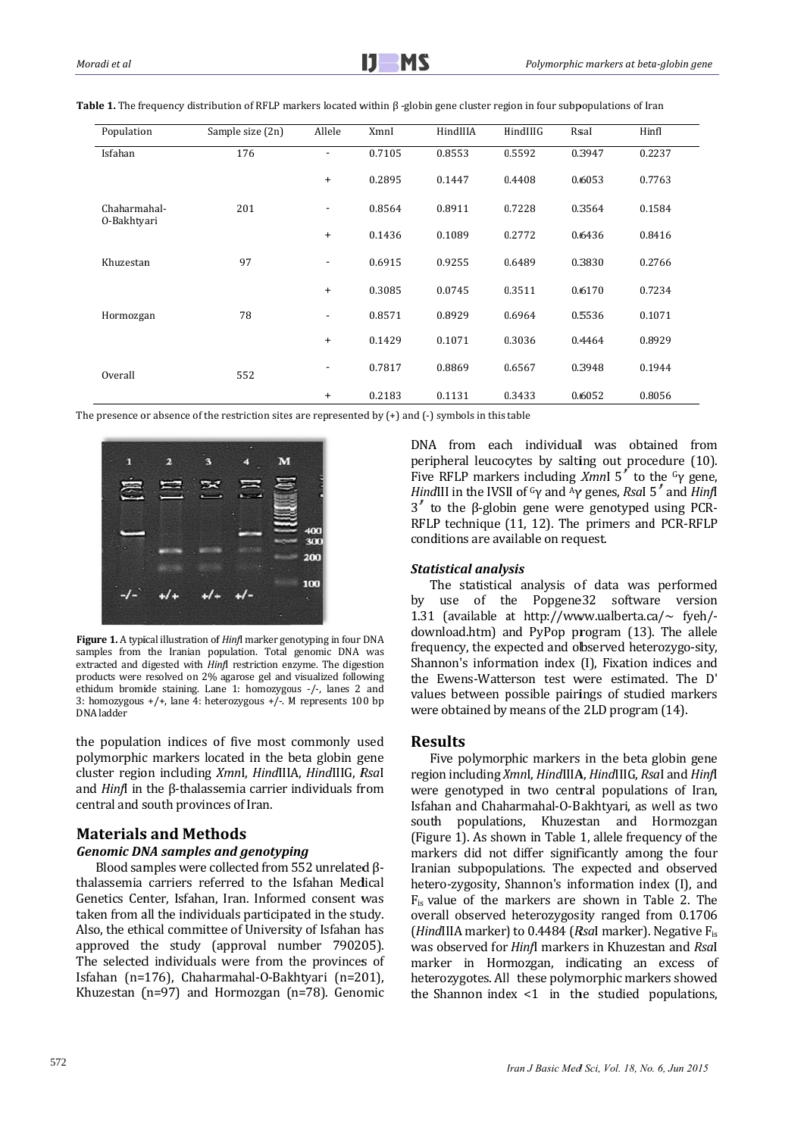| Population                  | Sample size (2n) | Allele         | XmnI   | HindIIIA | HindIIIG | Rsal   | Hinfl  |
|-----------------------------|------------------|----------------|--------|----------|----------|--------|--------|
| Isfahan                     | 176              | $\blacksquare$ | 0.7105 | 0.8553   | 0.5592   | 0.3947 | 0.2237 |
|                             |                  | $\ddot{}$      | 0.2895 | 0.1447   | 0.4408   | 0.6053 | 0.7763 |
| Chaharmahal-<br>0-Bakhtyari | 201              | $\blacksquare$ | 0.8564 | 0.8911   | 0.7228   | 0.3564 | 0.1584 |
|                             |                  | $\ddot{}$      | 0.1436 | 0.1089   | 0.2772   | 0.6436 | 0.8416 |
| Khuzestan                   | 97               | ٠              | 0.6915 | 0.9255   | 0.6489   | 0.3830 | 0.2766 |
|                             |                  | $\ddot{}$      | 0.3085 | 0.0745   | 0.3511   | 0.6170 | 0.7234 |
| Hormozgan                   | 78               | ٠              | 0.8571 | 0.8929   | 0.6964   | 0.5536 | 0.1071 |
|                             |                  | $\ddot{}$      | 0.1429 | 0.1071   | 0.3036   | 0.4464 | 0.8929 |
| Overall                     | 552              | ٠              | 0.7817 | 0.8869   | 0.6567   | 0.3948 | 0.1944 |
|                             |                  | $\ddot{}$      | 0.2183 | 0.1131   | 0.3433   | 0.6052 | 0.8056 |

Table 1. The frequency distribution of RFLP markers located within  $\beta$  -globin gene cluster region in four subpopulations of Iran

The presence or absence of the restriction sites are represented by  $(+)$  and  $(-)$  symbols in this table



Figure 1. A typical illustration of *Hinfl* marker genotyping in four DNA samples from the Iranian population. Total genomic DNA was extracted and digested with *Hinfl* restriction enzyme. The digestion products were resolved on 2% agarose gel and visualized following ethidum bromide staining. Lane 1: homozygous  $-/-$ , lanes 2 and 3: homozygous  $+/+$ , lane 4: heterozygous  $+/-$ . M represents 100 bp DNA ladder 

the population indices of five most commonly used polymorphic markers located in the beta globin gene cluster region including *XmnI*, *HindIIIA*, *HindIIIG*, *RsaI* and *Hinf*I in the  $\beta$ -thalassemia carrier individuals from central and south provinces of Iran.

# **Materials s and Meth hods**

#### *Genomic DNA samples and genotyping*

Blood samples were collected from 552 unrelated  $\beta$ thalassemia carriers referred to the Isfahan Medical Genetics Center, Isfahan, Iran. Informed consent was taken from all the individuals participated in the study. Also, the ethical committee of University of Isfahan has approved the study (approval number 790205). wa The selected individuals were from the provinces of Isfahan (n=176), Chaharmahal-O-Bakhtyari (n=201), Khuzestan  $(n=97)$  and Hormozgan  $(n=78)$ . Genomic

DNA from each individual was obtained from peripheral leucocytes by salting out procedure (10). Five RFLP markers including *Xmn*I 5' to the <sup>G</sup>γ gene, *Hind*III in the IVSII of <sup>G</sup>γ and <sup>A</sup>γ genes, *RsaI* 5<sup>*'*</sup> and *HinfI*  $3'$  to the β-globin gene were genotyped using PCR-RFLP technique (11, 12). The primers and PCR-RFLP conditions are available on request.

#### **Statistical** analysis

The statistical analysis of data was performed by 1.31 (available at http://www.ualberta.ca/~ fyeh/download.htm) and PyPop program (13). The allele frequency, the expected and observed heterozygo-sity, Shannon's information index (I), Fixation indices and the Ewens-Watterson test were estimated. The D' values between possible pairings of studied markers were obtained by means of the 2LD program (14). use of the Popgene32 software version

## **Res sults**

Five polymorphic markers in the beta globin gene region including *XmnI*, *HindIIIA*, *HindIIIG*, *RsaI* and *HinfI* were genotyped in two central populations of Iran, Isfahan and Chaharmahal-O-Bakhtyari, as well as two south populations, Khuzestan and Hormozgan (Figure 1). As shown in Table 1, allele frequency of the markers did not differ significantly among the four Iranian subpopulations. The expected and observed hetero-zygosity, Shannon's information index (I), and  $F_{is}$  value of the markers are shown in Table 2. The overall observed heterozygosity ranged from 0.1706 (*HindIIIA* marker) to 0.4484 (*RsaI* marker). Negative F<sub>is</sub> was observed for *Hinfl* markers in Khuzestan and *Rsal* marker in Hormozgan, indicating an excess of heterozygotes. All these polymorphic markers showed the Shannon index  $\leq 1$  in the studied populations,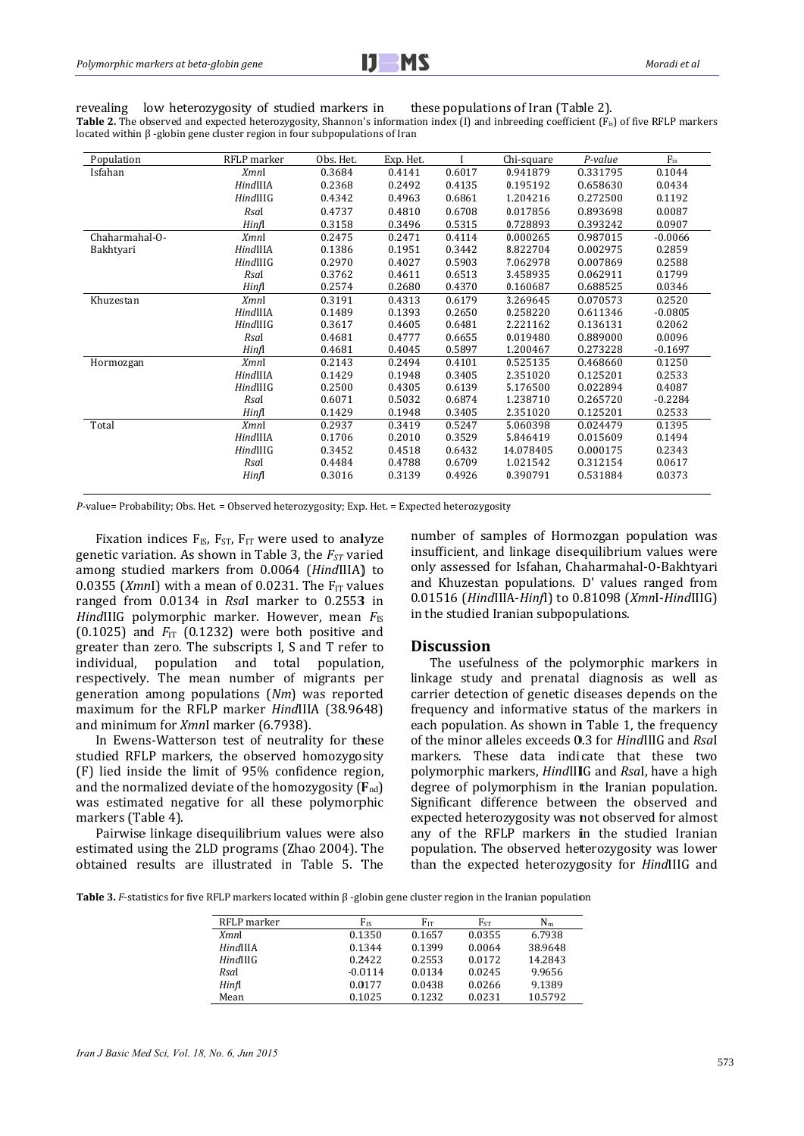revealing low heterozygosity of studied markers in these populations of Iran (Table 2). Table 2. The observed and expected heterozygosity, Shannon's information index (I) and inbreeding coefficient (F<sub>is</sub>) of five RFLP markers located within  $\beta$  -globin gene cluster region in four subpopulations of Iran

| Population     | RFLP marker | Obs. Het. | Exp. Het. |        | Chi-square | P-value  | $F_{is}$  |
|----------------|-------------|-----------|-----------|--------|------------|----------|-----------|
| Isfahan        | <b>XmnI</b> | 0.3684    | 0.4141    | 0.6017 | 0.941879   | 0.331795 | 0.1044    |
|                | HindIIIA    | 0.2368    | 0.2492    | 0.4135 | 0.195192   | 0.658630 | 0.0434    |
|                | HindIIIG    | 0.4342    | 0.4963    | 0.6861 | 1.204216   | 0.272500 | 0.1192    |
|                | Rsal        | 0.4737    | 0.4810    | 0.6708 | 0.017856   | 0.893698 | 0.0087    |
|                | Hinfl       | 0.3158    | 0.3496    | 0.5315 | 0.728893   | 0.393242 | 0.0907    |
| Chaharmahal-O- | <b>XmnI</b> | 0.2475    | 0.2471    | 0.4114 | 0.000265   | 0.987015 | $-0.0066$ |
| Bakhtyari      | HindIIIA    | 0.1386    | 0.1951    | 0.3442 | 8.822704   | 0.002975 | 0.2859    |
|                | HindIIIG    | 0.2970    | 0.4027    | 0.5903 | 7.062978   | 0.007869 | 0.2588    |
|                | Rsal        | 0.3762    | 0.4611    | 0.6513 | 3.458935   | 0.062911 | 0.1799    |
|                | Hinfl       | 0.2574    | 0.2680    | 0.4370 | 0.160687   | 0.688525 | 0.0346    |
| Khuzestan      | <b>XmnI</b> | 0.3191    | 0.4313    | 0.6179 | 3.269645   | 0.070573 | 0.2520    |
|                | HindIIIA    | 0.1489    | 0.1393    | 0.2650 | 0.258220   | 0.611346 | $-0.0805$ |
|                | HindIIIG    | 0.3617    | 0.4605    | 0.6481 | 2.221162   | 0.136131 | 0.2062    |
|                | Rsal        | 0.4681    | 0.4777    | 0.6655 | 0.019480   | 0.889000 | 0.0096    |
|                | Hinfl       | 0.4681    | 0.4045    | 0.5897 | 1.200467   | 0.273228 | $-0.1697$ |
| Hormozgan      | <b>XmnI</b> | 0.2143    | 0.2494    | 0.4101 | 0.525135   | 0.468660 | 0.1250    |
|                | HindIIIA    | 0.1429    | 0.1948    | 0.3405 | 2.351020   | 0.125201 | 0.2533    |
|                | HindIIIG    | 0.2500    | 0.4305    | 0.6139 | 5.176500   | 0.022894 | 0.4087    |
|                | Rsal        | 0.6071    | 0.5032    | 0.6874 | 1.238710   | 0.265720 | $-0.2284$ |
|                | Hinfl       | 0.1429    | 0.1948    | 0.3405 | 2.351020   | 0.125201 | 0.2533    |
| Total          | <b>XmnI</b> | 0.2937    | 0.3419    | 0.5247 | 5.060398   | 0.024479 | 0.1395    |
|                | HindIIIA    | 0.1706    | 0.2010    | 0.3529 | 5.846419   | 0.015609 | 0.1494    |
|                | HindIIIG    | 0.3452    | 0.4518    | 0.6432 | 14.078405  | 0.000175 | 0.2343    |
|                | Rsal        | 0.4484    | 0.4788    | 0.6709 | 1.021542   | 0.312154 | 0.0617    |
|                | Hinfl       | 0.3016    | 0.3139    | 0.4926 | 0.390791   | 0.531884 | 0.0373    |
|                |             |           |           |        |            |          |           |

 $P$ -value= Probability; Obs. Het. = Observed heterozygosity; Exp. Het. = Expected heterozygosity

Fixation indices  $F_{IS}$ ,  $F_{ST}$ ,  $F_{IT}$  were used to analyze genetic variation. As shown in Table 3, the  $F_{ST}$  varied among studied markers from 0.0064 (HindIIIA) to 0.0355 (XmnI) with a mean of 0.0231. The  $F_{IT}$  values ranged from 0.0134 in Rsal marker to 0.2553 in *HindIIIG* polymorphic marker. However, mean  $F_{IS}$  $(0.1025)$  and  $F_{IT}$  (0.1232) were both positive and greater than zero. The subscripts I, S and T refer to individual, population and total population, respectively. The mean number of migrants per generation among populations  $(Nm)$  was reported maximum for the RFLP marker HindIIIA (38.9648) and minimum for *Xmnl* marker (6.7938).

In Ewens-Watterson test of neutrality for these studied RFLP markers, the observed homozygosity (F) lied inside the limit of 95% confidence region, and the normalized deviate of the homozygosity  $(F_{nd})$ was estimated negative for all these polymorphic markers (Table 4).

Pairwise linkage disequilibrium values were also estimated using the 2LD programs (Zhao 2004). The obtained results are illustrated in Table 5. The number of samples of Hormozgan population was insufficient, and linkage disequilibrium values were only assessed for Isfahan, Chaharmahal-O-Bakhtyari and Khuzestan populations. D' values ranged from 0.01516 (HindIIIA-Hinfl) to 0.81098 (Xmnl-HindIIIG) in the studied Iranian subpopulations.

#### **Discussion**

The usefulness of the polymorphic markers in linkage study and prenatal diagnosis as well as carrier detection of genetic diseases depends on the frequency and informative status of the markers in each population. As shown in Table 1, the frequency of the minor alleles exceeds 0.3 for HindIIIG and Rsal markers. These data indicate that these two polymorphic markers, HindIIIG and Rsal, have a high degree of polymorphism in the Iranian population. Significant difference between the observed and expected heterozygosity was not observed for almost any of the RFLP markers in the studied Iranian population. The observed heterozygosity was lower than the expected heterozygosity for HindIIIG and

**Table 3.** F-statistics for five RFLP markers located within  $\beta$ -globin gene cluster region in the Iranian population

| RFLP marker | $F_{IS}$  | $F_{IT}$ | Fst    | $N_m$   |
|-------------|-----------|----------|--------|---------|
| <i>XmnI</i> | 0.1350    | 0.1657   | 0.0355 | 6.7938  |
| HindIIIA    | 0.1344    | 0.1399   | 0.0064 | 38.9648 |
| HindIIIG    | 0.2422    | 0.2553   | 0.0172 | 14.2843 |
| Rsal        | $-0.0114$ | 0.0134   | 0.0245 | 9.9656  |
| Hinfl       | 0.0177    | 0.0438   | 0.0266 | 9.1389  |
| Mean        | 0.1025    | 0.1232   | 0.0231 | 10.5792 |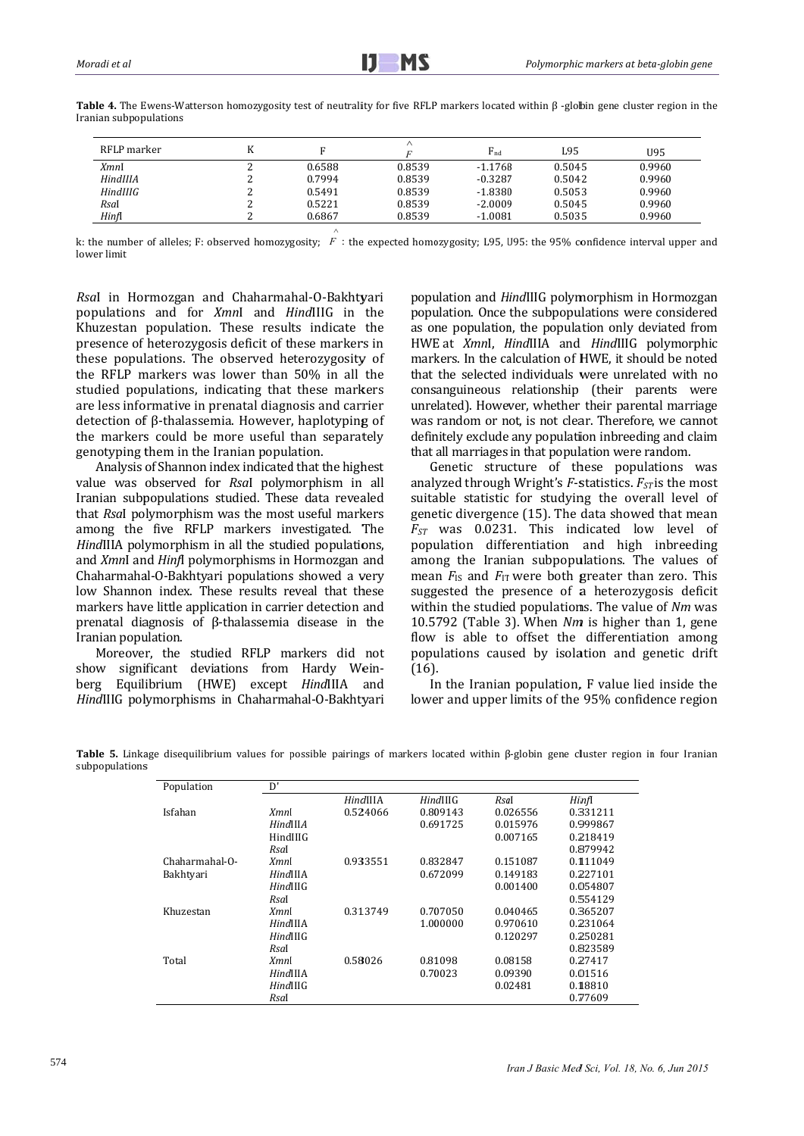| RFLP marker |        |        | $F_{\text{nd}}$ | L95    | U95    |
|-------------|--------|--------|-----------------|--------|--------|
| XmnI        | 0.6588 | 0.8539 | $-1.1768$       | 0.5045 | 0.9960 |
| HindIIIA    | 0.7994 | 0.8539 | $-0.3287$       | 0.5042 | 0.9960 |
| HindI IIG   | 0.5491 | 0.8539 | $-1.8380$       | 0.5053 | 0.9960 |
| RsaI        | 0.5221 | 0.8539 | $-2.0009$       | 0.5045 | 0.9960 |
| Hinfl       | 0.6867 | 0.8539 | $-1.0081$       | 0.5035 | 0.9960 |

Table 4. The Ewens-Watterson homozygosity test of neutrality for five RFLP markers located within  $\beta$  -globin gene cluster region in the Iranian subpopulations

k: the number of alleles; F: observed homozygosity;  $F$ : the expected homozygosity; L95, U95: the 95% confidence interval upper and lower limit

Rsal in Hormozgan and Chaharmahal-O-Bakhtyari populations and for XmnI and HindIIIG in the Khuzestan population. These results indicate the presence of heterozygosis deficit of these markers in these populations. The observed heterozygosity of the RFLP markers was lower than 50% in all the studied populations, indicating that these markers are less informative in prenatal diagnosis and carrier detection of β-thalassemia. However, haplotyping of the markers could be more useful than separately genotyping them in the Iranian population.

Analysis of Shannon index indicated that the highest value was observed for Rsal polymorphism in all Iranian subpopulations studied. These data revealed that Rsal polymorphism was the most useful markers among the five RFLP markers investigated. The *HindIIIA* polymorphism in all the studied populations. and *XmnI* and *HinfI* polymorphisms in Hormozgan and Chaharmahal-O-Bakhtvari populations showed a very low Shannon index. These results reveal that these markers have little application in carrier detection and prenatal diagnosis of  $\beta$ -thalassemia disease in the Iranian population.

Moreover, the studied RFLP markers did not show significant deviations from Hardy Weinberg Equilibrium (HWE) except HindIIIA and HindIIIG polymorphisms in Chaharmahal-O-Bakhtyari population and HindIIIG polymorphism in Hormozgan population. Once the subpopulations were considered as one population, the population only deviated from HWE at XmnI, HindIIIA and HindIIIG polymorphic markers. In the calculation of HWE, it should be noted that the selected individuals were unrelated with no consanguineous relationship (their parents were unrelated). However, whether their parental marriage was random or not, is not clear. Therefore, we cannot definitely exclude any population inbreeding and claim that all marriages in that population were random.

Genetic structure of these populations was analyzed through Wright's  $F$ -statistics.  $F_{ST}$  is the most suitable statistic for studying the overall level of genetic divergence (15). The data showed that mean  $F_{ST}$  was 0.0231. This indicated low level of population differentiation and high inbreeding among the Iranian subpopulations. The values of mean  $F_{1S}$  and  $F_{1T}$  were both greater than zero. This suggested the presence of a heterozygosis deficit within the studied populations. The value of Nm was 10.5792 (Table 3). When Nm is higher than 1, gene flow is able to offset the differentiation among populations caused by isolation and genetic drift  $(16)$ .

In the Iranian population, F value lied inside the lower and upper limits of the 95% confidence region

Table 5. Linkage disequilibrium values for possible pairings of markers located within ß-globin gene cluster region in four Iranian subpopulations

| Population     | D'          |          |                 |          |          |
|----------------|-------------|----------|-----------------|----------|----------|
|                |             | HindIIIA | <b>HindIIIG</b> | Rsal     | Hinfl    |
| Isfahan        | <i>XmnI</i> | 0.524066 | 0.809143        | 0.026556 | 0.331211 |
|                | HindIIIA    |          | 0.691725        | 0.015976 | 0.999867 |
|                | HindIIIG    |          |                 | 0.007165 | 0.218419 |
|                | Rsal        |          |                 |          | 0.879942 |
| Chaharmahal-O- | <i>XmnI</i> | 0.933551 | 0.832847        | 0.151087 | 0.111049 |
| Bakhtvari      | HindIIIA    |          | 0.672099        | 0.149183 | 0.227101 |
|                | HindIIIG    |          |                 | 0.001400 | 0.054807 |
|                | Rsal        |          |                 |          | 0.554129 |
| Khuzestan      | <i>XmnI</i> | 0.313749 | 0.707050        | 0.040465 | 0.365207 |
|                | HindIIIA    |          | 1.000000        | 0.970610 | 0.231064 |
|                | HindIIIG    |          |                 | 0.120297 | 0.250281 |
|                | Rsal        |          |                 |          | 0.823589 |
| Total          | <i>XmnI</i> | 0.58026  | 0.81098         | 0.08158  | 0.27417  |
|                | HindIIIA    |          | 0.70023         | 0.09390  | 0.01516  |
|                | HindIIIG    |          |                 | 0.02481  | 0.18810  |
|                | Rsal        |          |                 |          | 0.77609  |